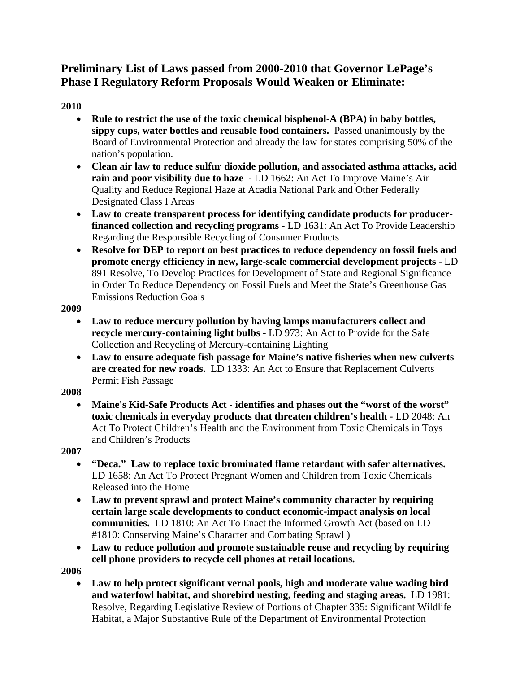# **Preliminary List of Laws passed from 2000-2010 that Governor LePage's Phase I Regulatory Reform Proposals Would Weaken or Eliminate:**

# **2010**

- **Rule to restrict the use of the toxic chemical bisphenol-A (BPA) in baby bottles, sippy cups, water bottles and reusable food containers.** Passed unanimously by the Board of Environmental Protection and already the law for states comprising 50% of the nation's population.
- **Clean air law to reduce sulfur dioxide pollution, and associated asthma attacks, acid rain and poor visibility due to haze -** LD 1662: An Act To Improve Maine's Air Quality and Reduce Regional Haze at Acadia National Park and Other Federally Designated Class I Areas
- Law to create transparent process for identifying candidate products for producer**financed collection and recycling programs -** LD 1631: An Act To Provide Leadership Regarding the Responsible Recycling of Consumer Products
- **Resolve for DEP to report on best practices to reduce dependency on fossil fuels and promote energy efficiency in new, large-scale commercial development projects -** LD 891 Resolve, To Develop Practices for Development of State and Regional Significance in Order To Reduce Dependency on Fossil Fuels and Meet the State's Greenhouse Gas Emissions Reduction Goals

#### **2009**

- **Law to reduce mercury pollution by having lamps manufacturers collect and recycle mercury-containing light bulbs -** LD 973: An Act to Provide for the Safe Collection and Recycling of Mercury-containing Lighting
- **Law to ensure adequate fish passage for Maine's native fisheries when new culverts are created for new roads.** LD 1333: An Act to Ensure that Replacement Culverts Permit Fish Passage

# **2008**

 **Maine's Kid-Safe Products Act - identifies and phases out the "worst of the worst" toxic chemicals in everyday products that threaten children's health -** LD 2048: An Act To Protect Children's Health and the Environment from Toxic Chemicals in Toys and Children's Products

# **2007**

- **"Deca." Law to replace toxic brominated flame retardant with safer alternatives.**  LD 1658: An Act To Protect Pregnant Women and Children from Toxic Chemicals Released into the Home
- **Law to prevent sprawl and protect Maine's community character by requiring certain large scale developments to conduct economic-impact analysis on local communities.** LD 1810: An Act To Enact the Informed Growth Act (based on LD #1810: Conserving Maine's Character and Combating Sprawl )
- **Law to reduce pollution and promote sustainable reuse and recycling by requiring cell phone providers to recycle cell phones at retail locations.**

**2006** 

 **Law to help protect significant vernal pools, high and moderate value wading bird and waterfowl habitat, and shorebird nesting, feeding and staging areas.** LD 1981: Resolve, Regarding Legislative Review of Portions of Chapter 335: Significant Wildlife Habitat, a Major Substantive Rule of the Department of Environmental Protection